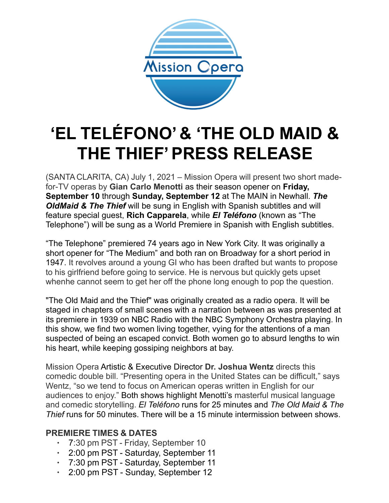

# **'EL TELÉFONO' & 'THE OLD MAID & THE THIEF'PRESS RELEASE**

(SANTA CLARITA, CA) July 1, 2021 – Mission Opera will present two short madefor-TV operas by **Gian Carlo Menotti** as their season opener on **Friday, September 10** through **Sunday, September 12** at The MAIN in Newhall. *The OldMaid & The Thief* will be sung in English with Spanish subtitles and will feature special guest, **Rich Capparela**, while *El Teléfono* (known as "The Telephone") will be sung as a World Premiere in Spanish with English subtitles.

"The Telephone" premiered 74 years ago in New York City. It was originally a short opener for "The Medium" and both ran on Broadway for a short period in 1947. It revolves around a young GI who has been drafted but wants to propose to his girlfriend before going to service. He is nervous but quickly gets upset whenhe cannot seem to get her off the phone long enough to pop the question.

"The Old Maid and the Thief" was originally created as a radio opera. It will be staged in chapters of small scenes with a narration between as was presented at its premiere in 1939 on NBC Radio with the NBC Symphony Orchestra playing. In this show, we find two women living together, vying for the attentions of a man suspected of being an escaped convict. Both women go to absurd lengths to win his heart, while keeping gossiping neighbors at bay.

Mission Opera Artistic & Executive Director **Dr. Joshua Wentz** directs this comedic double bill. "Presenting opera in the United States can be difficult," says Wentz, "so we tend to focus on American operas written in English for our audiences to enjoy." Both shows highlight Menotti's masterful musical language and comedic storytelling. *El Teléfono* runs for 25 minutes and *The Old Maid & The Thief* runs for 50 minutes. There will be a 15 minute intermission between shows.

#### **PREMIERE TIMES & DATES**

- 7:30 pm PST Friday, September 10
- 2:00 pm PST Saturday, September 11
- 7:30 pm PST Saturday, September 11
- 2:00 pm PST Sunday, September 12